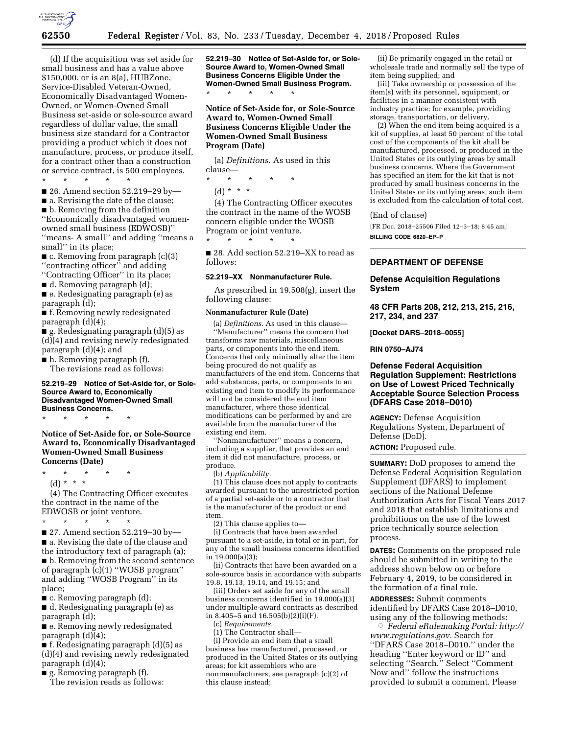

(d) If the acquisition was set aside for small business and has a value above \$150,000, or is an 8(a), HUBZone, Service-Disabled Veteran-Owned, Economically Disadvantaged Women-Owned, or Women-Owned Small Business set-aside or sole-source award regardless of dollar value, the small business size standard for a Contractor providing a product which it does not manufacture, process, or produce itself, for a contract other than a construction or service contract, is 500 employees.

\* \* \* \* \*

- 26. Amend section 52.219–29 by—
- a. Revising the date of the clause;
- b. Removing from the definition

''Economically disadvantaged womenowned small business (EDWOSB)'' ''means- A small'' and adding ''means a

small'' in its place;  $\blacksquare$  c. Removing from paragraph  $(c)(3)$ 

''contracting officer'' and adding ''Contracting Officer'' in its place;

■ d. Removing paragraph (d);

■ e. Redesignating paragraph (e) as paragraph (d);

■ f. Removing newly redesignated paragraph (d)(4);

■ g. Redesignating paragraph (d)(5) as (d)(4) and revising newly redesignated paragraph (d)(4); and

■ h. Removing paragraph (f). The revisions read as follows:

#### **52.219–29 Notice of Set-Aside for, or Sole-Source Award to, Economically Disadvantaged Women-Owned Small Business Concerns.**

\* \* \* \* \*

# **Notice of Set-Aside for, or Sole-Source Award to, Economically Disadvantaged Women-Owned Small Business Concerns (Date)**

\* \* \* \* \* (d) \* \* \*

(4) The Contracting Officer executes the contract in the name of the EDWOSB or joint venture.

\* \* \* \* \*

■ 27. Amend section 52.219–30 by— ■ a. Revising the date of the clause and the introductory text of paragraph (a); ■ b. Removing from the second sentence of paragraph (c)(1) ''WOSB program'' and adding ''WOSB Program'' in its place;

 $\blacksquare$  c. Removing paragraph (d);

■ d. Redesignating paragraph (e) as paragraph (d);

■ e. Removing newly redesignated paragraph (d)(4);

■ f. Redesignating paragraph (d)(5) as (d)(4) and revising newly redesignated paragraph (d)(4);

■ g. Removing paragraph (f).

The revision reads as follows:

**52.219–30 Notice of Set-Aside for, or Sole-Source Award to, Women-Owned Small Business Concerns Eligible Under the Women-Owned Small Business Program.**  \* \* \* \* \*

**Notice of Set-Aside for, or Sole-Source Award to, Women-Owned Small Business Concerns Eligible Under the Women-Owned Small Business Program (Date)** 

(a) *Definitions.* As used in this clause—

\* \* \* \* \*

\* \* \* \* \*

 $(d) * * * *$ 

(4) The Contracting Officer executes the contract in the name of the WOSB concern eligible under the WOSB Program or joint venture.

■ 28. Add section 52.219–XX to read as follows:

#### **52.219–XX Nonmanufacturer Rule.**

As prescribed in 19.508(g), insert the following clause:

#### **Nonmanufacturer Rule (Date)**

(a) *Definitions.* As used in this clause— ''Manufacturer'' means the concern that transforms raw materials, miscellaneous parts, or components into the end item. Concerns that only minimally alter the item being procured do not qualify as manufacturers of the end item. Concerns that add substances, parts, or components to an existing end item to modify its performance will not be considered the end item manufacturer, where those identical modifications can be performed by and are available from the manufacturer of the existing end item.

''Nonmanufacturer'' means a concern, including a supplier, that provides an end item it did not manufacture, process, or produce.

(b) *Applicability.* 

(1) This clause does not apply to contracts awarded pursuant to the unrestricted portion of a partial set-aside or to a contractor that is the manufacturer of the product or end item.

(2) This clause applies to—

(i) Contracts that have been awarded pursuant to a set-aside, in total or in part, for any of the small business concerns identified in 19.000(a)(3);

(ii) Contracts that have been awarded on a sole-source basis in accordance with subparts 19.8, 19.13, 19.14, and 19.15; and

(iii) Orders set aside for any of the small business concerns identified in 19.000(a)(3) under multiple-award contracts as described in 8.405–5 and 16.505(b)(2)(i)(F).

(c) *Requirements.* 

(1) The Contractor shall—

(i) Provide an end item that a small business has manufactured, processed, or produced in the United States or its outlying areas; for kit assemblers who are nonmanufacturers, see paragraph (c)(2) of this clause instead;

(ii) Be primarily engaged in the retail or wholesale trade and normally sell the type of item being supplied; and

(iii) Take ownership or possession of the item(s) with its personnel, equipment, or facilities in a manner consistent with industry practice; for example, providing storage, transportation, or delivery.

(2) When the end item being acquired is a kit of supplies, at least 50 percent of the total cost of the components of the kit shall be manufactured, processed, or produced in the United States or its outlying areas by small business concerns. Where the Government has specified an item for the kit that is not produced by small business concerns in the United States or its outlying areas, such item is excluded from the calculation of total cost.

#### (End of clause)

[FR Doc. 2018–25506 Filed 12–3–18; 8:45 am]

**BILLING CODE 6820–EP–P** 

## **DEPARTMENT OF DEFENSE**

## **Defense Acquisition Regulations System**

**48 CFR Parts 208, 212, 213, 215, 216, 217, 234, and 237** 

**[Docket DARS–2018–0055]** 

**RIN 0750–AJ74** 

## **Defense Federal Acquisition Regulation Supplement: Restrictions on Use of Lowest Priced Technically Acceptable Source Selection Process (DFARS Case 2018–D010)**

**AGENCY:** Defense Acquisition Regulations System, Department of Defense (DoD).

**ACTION:** Proposed rule.

**SUMMARY:** DoD proposes to amend the Defense Federal Acquisition Regulation Supplement (DFARS) to implement sections of the National Defense Authorization Acts for Fiscal Years 2017 and 2018 that establish limitations and prohibitions on the use of the lowest price technically source selection process.

**DATES:** Comments on the proposed rule should be submitted in writing to the address shown below on or before February 4, 2019, to be considered in the formation of a final rule.

**ADDRESSES:** Submit comments identified by DFARS Case 2018–D010, using any of the following methods:

Æ *Federal eRulemaking Portal: [http://](http://www.regulations.gov)  [www.regulations.gov.](http://www.regulations.gov)* Search for ''DFARS Case 2018–D010.'' under the heading ''Enter keyword or ID'' and selecting ''Search.'' Select ''Comment Now and'' follow the instructions provided to submit a comment. Please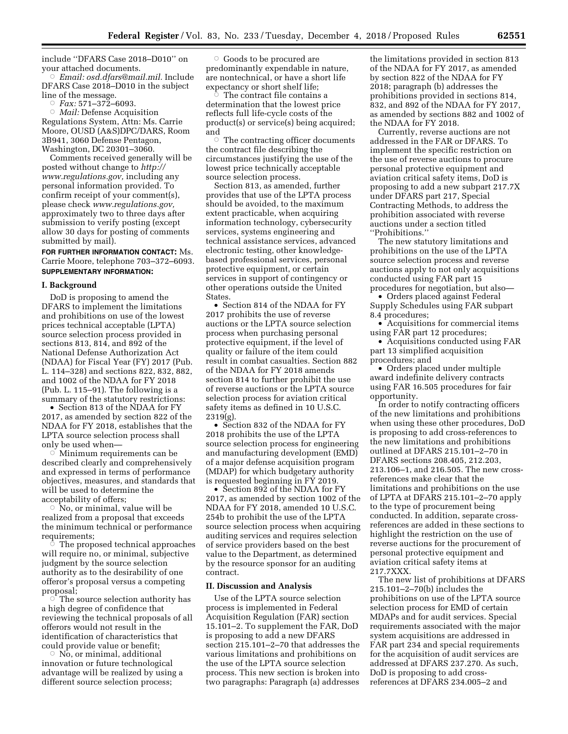include ''DFARS Case 2018–D010'' on your attached documents.

Æ *Email: [osd.dfars@mail.mil.](mailto:osd.dfars@mail.mil)* Include DFARS Case 2018–D010 in the subject line of the message.

Æ *Fax:* 571–372–6093.

Æ *Mail:* Defense Acquisition Regulations System, Attn: Ms. Carrie Moore, OUSD (A&S)DPC/DARS, Room 3B941, 3060 Defense Pentagon, Washington, DC 20301–3060.

Comments received generally will be posted without change to *[http://](http://www.regulations.gov) [www.regulations.gov,](http://www.regulations.gov)* including any personal information provided. To confirm receipt of your comment(s), please check *[www.regulations.gov,](http://www.regulations.gov)*  approximately two to three days after submission to verify posting (except allow 30 days for posting of comments submitted by mail).

# **FOR FURTHER INFORMATION CONTACT:** Ms. Carrie Moore, telephone 703–372–6093. **SUPPLEMENTARY INFORMATION:**

#### **I. Background**

DoD is proposing to amend the DFARS to implement the limitations and prohibitions on use of the lowest prices technical acceptable (LPTA) source selection process provided in sections 813, 814, and 892 of the National Defense Authorization Act (NDAA) for Fiscal Year (FY) 2017 (Pub. L. 114–328) and sections 822, 832, 882, and 1002 of the NDAA for FY 2018 (Pub. L. 115–91). The following is a summary of the statutory restrictions:

• Section 813 of the NDAA for FY 2017, as amended by section 822 of the NDAA for FY 2018, establishes that the LPTA source selection process shall only be used when—

Æ Minimum requirements can be described clearly and comprehensively and expressed in terms of performance objectives, measures, and standards that will be used to determine the acceptability of offers;

 $\bar{\circ}$  No, or minimal, value will be realized from a proposal that exceeds the minimum technical or performance requirements;

 $\circ$  The proposed technical approaches will require no, or minimal, subjective judgment by the source selection authority as to the desirability of one offeror's proposal versus a competing proposal;

 $\circ$  The source selection authority has a high degree of confidence that reviewing the technical proposals of all offerors would not result in the identification of characteristics that could provide value or benefit;

 $\circ$  No, or minimal, additional innovation or future technological advantage will be realized by using a different source selection process;

 $\circ$  Goods to be procured are predominantly expendable in nature, are nontechnical, or have a short life expectancy or short shelf life; Æ

 The contract file contains a determination that the lowest price reflects full life-cycle costs of the product(s) or service(s) being acquired; and

 $\circ$  The contracting officer documents the contract file describing the circumstances justifying the use of the lowest price technically acceptable source selection process.

Section 813, as amended, further provides that use of the LPTA process should be avoided, to the maximum extent practicable, when acquiring information technology, cybersecurity services, systems engineering and technical assistance services, advanced electronic testing, other knowledgebased professional services, personal protective equipment, or certain services in support of contingency or other operations outside the United States.

• Section 814 of the NDAA for FY 2017 prohibits the use of reverse auctions or the LPTA source selection process when purchasing personal protective equipment, if the level of quality or failure of the item could result in combat casualties. Section 882 of the NDAA for FY 2018 amends section 814 to further prohibit the use of reverse auctions or the LPTA source selection process for aviation critical safety items as defined in 10 U.S.C. 2319(g).

• Section 832 of the NDAA for FY 2018 prohibits the use of the LPTA source selection process for engineering and manufacturing development (EMD) of a major defense acquisition program (MDAP) for which budgetary authority is requested beginning in FY 2019.

• Section 892 of the NDAA for FY 2017, as amended by section 1002 of the NDAA for FY 2018, amended 10 U.S.C. 254b to prohibit the use of the LPTA source selection process when acquiring auditing services and requires selection of service providers based on the best value to the Department, as determined by the resource sponsor for an auditing contract.

### **II. Discussion and Analysis**

Use of the LPTA source selection process is implemented in Federal Acquisition Regulation (FAR) section 15.101–2. To supplement the FAR, DoD is proposing to add a new DFARS section 215.101–2–70 that addresses the various limitations and prohibitions on the use of the LPTA source selection process. This new section is broken into two paragraphs: Paragraph (a) addresses

the limitations provided in section 813 of the NDAA for FY 2017, as amended by section 822 of the NDAA for FY 2018; paragraph (b) addresses the prohibitions provided in sections 814, 832, and 892 of the NDAA for FY 2017, as amended by sections 882 and 1002 of the NDAA for FY 2018.

Currently, reverse auctions are not addressed in the FAR or DFARS. To implement the specific restriction on the use of reverse auctions to procure personal protective equipment and aviation critical safety items, DoD is proposing to add a new subpart 217.7X under DFARS part 217, Special Contracting Methods, to address the prohibition associated with reverse auctions under a section titled ''Prohibitions.''

The new statutory limitations and prohibitions on the use of the LPTA source selection process and reverse auctions apply to not only acquisitions conducted using FAR part 15 procedures for negotiation, but also—

• Orders placed against Federal Supply Schedules using FAR subpart 8.4 procedures;

• Acquisitions for commercial items using FAR part 12 procedures;

• Acquisitions conducted using FAR part 13 simplified acquisition procedures; and

• Orders placed under multiple award indefinite delivery contracts using FAR 16.505 procedures for fair opportunity.

In order to notify contracting officers of the new limitations and prohibitions when using these other procedures, DoD is proposing to add cross-references to the new limitations and prohibitions outlined at DFARS 215.101–2–70 in DFARS sections 208.405, 212.203, 213.106–1, and 216.505. The new crossreferences make clear that the limitations and prohibitions on the use of LPTA at DFARS 215.101–2–70 apply to the type of procurement being conducted. In addition, separate crossreferences are added in these sections to highlight the restriction on the use of reverse auctions for the procurement of personal protective equipment and aviation critical safety items at 217.7XXX.

The new list of prohibitions at DFARS 215.101–2–70(b) includes the prohibitions on use of the LPTA source selection process for EMD of certain MDAPs and for audit services. Special requirements associated with the major system acquisitions are addressed in FAR part 234 and special requirements for the acquisition of audit services are addressed at DFARS 237.270. As such, DoD is proposing to add crossreferences at DFARS 234.005–2 and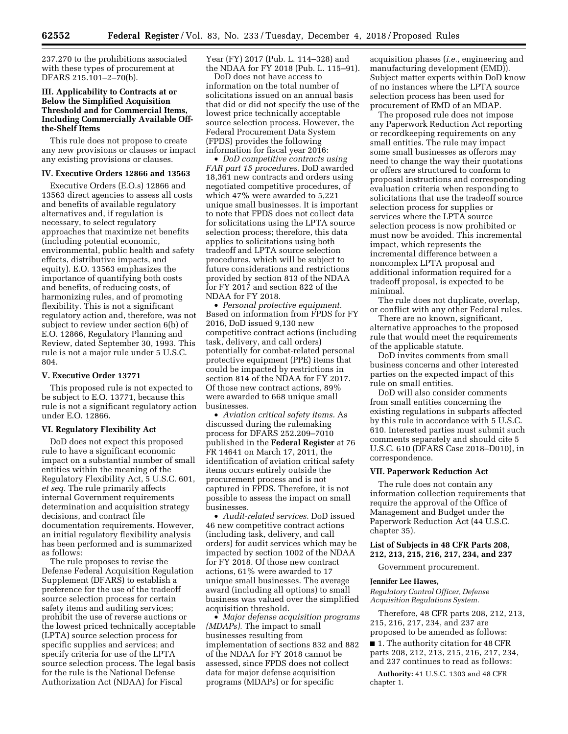237.270 to the prohibitions associated with these types of procurement at DFARS 215.101–2–70(b).

## **III. Applicability to Contracts at or Below the Simplified Acquisition Threshold and for Commercial Items, Including Commercially Available Offthe-Shelf Items**

This rule does not propose to create any new provisions or clauses or impact any existing provisions or clauses.

#### **IV. Executive Orders 12866 and 13563**

Executive Orders (E.O.s) 12866 and 13563 direct agencies to assess all costs and benefits of available regulatory alternatives and, if regulation is necessary, to select regulatory approaches that maximize net benefits (including potential economic, environmental, public health and safety effects, distributive impacts, and equity). E.O. 13563 emphasizes the importance of quantifying both costs and benefits, of reducing costs, of harmonizing rules, and of promoting flexibility. This is not a significant regulatory action and, therefore, was not subject to review under section 6(b) of E.O. 12866, Regulatory Planning and Review, dated September 30, 1993. This rule is not a major rule under 5 U.S.C. 804.

#### **V. Executive Order 13771**

This proposed rule is not expected to be subject to E.O. 13771, because this rule is not a significant regulatory action under E.O. 12866.

#### **VI. Regulatory Flexibility Act**

DoD does not expect this proposed rule to have a significant economic impact on a substantial number of small entities within the meaning of the Regulatory Flexibility Act, 5 U.S.C. 601, *et seq.* The rule primarily affects internal Government requirements determination and acquisition strategy decisions, and contract file documentation requirements. However, an initial regulatory flexibility analysis has been performed and is summarized as follows:

The rule proposes to revise the Defense Federal Acquisition Regulation Supplement (DFARS) to establish a preference for the use of the tradeoff source selection process for certain safety items and auditing services; prohibit the use of reverse auctions or the lowest priced technically acceptable (LPTA) source selection process for specific supplies and services; and specify criteria for use of the LPTA source selection process. The legal basis for the rule is the National Defense Authorization Act (NDAA) for Fiscal

Year (FY) 2017 (Pub. L. 114–328) and the NDAA for FY 2018 (Pub. L. 115–91).

DoD does not have access to information on the total number of solicitations issued on an annual basis that did or did not specify the use of the lowest price technically acceptable source selection process. However, the Federal Procurement Data System (FPDS) provides the following information for fiscal year 2016:

• *DoD competitive contracts using FAR part 15 procedures.* DoD awarded 18,361 new contracts and orders using negotiated competitive procedures, of which 47% were awarded to 5,221 unique small businesses. It is important to note that FPDS does not collect data for solicitations using the LPTA source selection process; therefore, this data applies to solicitations using both tradeoff and LPTA source selection procedures, which will be subject to future considerations and restrictions provided by section 813 of the NDAA for FY 2017 and section 822 of the NDAA for FY 2018.

• *Personal protective equipment.*  Based on information from FPDS for FY 2016, DoD issued 9,130 new competitive contract actions (including task, delivery, and call orders) potentially for combat-related personal protective equipment (PPE) items that could be impacted by restrictions in section 814 of the NDAA for FY 2017. Of those new contract actions, 89% were awarded to 668 unique small businesses.

• *Aviation critical safety items.* As discussed during the rulemaking process for DFARS 252.209–7010 published in the **Federal Register** at 76 FR 14641 on March 17, 2011, the identification of aviation critical safety items occurs entirely outside the procurement process and is not captured in FPDS. Therefore, it is not possible to assess the impact on small businesses.

• *Audit-related services.* DoD issued 46 new competitive contract actions (including task, delivery, and call orders) for audit services which may be impacted by section 1002 of the NDAA for FY 2018. Of those new contract actions, 61% were awarded to 17 unique small businesses. The average award (including all options) to small business was valued over the simplified acquisition threshold.

• *Major defense acquisition programs (MDAPs).* The impact to small businesses resulting from implementation of sections 832 and 882 of the NDAA for FY 2018 cannot be assessed, since FPDS does not collect data for major defense acquisition programs (MDAPs) or for specific

acquisition phases (*i.e.,* engineering and manufacturing development (EMD)). Subject matter experts within DoD know of no instances where the LPTA source selection process has been used for procurement of EMD of an MDAP.

The proposed rule does not impose any Paperwork Reduction Act reporting or recordkeeping requirements on any small entities. The rule may impact some small businesses as offerors may need to change the way their quotations or offers are structured to conform to proposal instructions and corresponding evaluation criteria when responding to solicitations that use the tradeoff source selection process for supplies or services where the LPTA source selection process is now prohibited or must now be avoided. This incremental impact, which represents the incremental difference between a noncomplex LPTA proposal and additional information required for a tradeoff proposal, is expected to be minimal.

The rule does not duplicate, overlap, or conflict with any other Federal rules.

There are no known, significant, alternative approaches to the proposed rule that would meet the requirements of the applicable statute.

DoD invites comments from small business concerns and other interested parties on the expected impact of this rule on small entities.

DoD will also consider comments from small entities concerning the existing regulations in subparts affected by this rule in accordance with 5 U.S.C. 610. Interested parties must submit such comments separately and should cite 5 U.S.C. 610 (DFARS Case 2018–D010), in correspondence.

### **VII. Paperwork Reduction Act**

The rule does not contain any information collection requirements that require the approval of the Office of Management and Budget under the Paperwork Reduction Act (44 U.S.C. chapter 35).

### **List of Subjects in 48 CFR Parts 208, 212, 213, 215, 216, 217, 234, and 237**

Government procurement.

#### **Jennifer Lee Hawes,**

*Regulatory Control Officer, Defense Acquisition Regulations System.* 

Therefore, 48 CFR parts 208, 212, 213, 215, 216, 217, 234, and 237 are proposed to be amended as follows:

■ 1. The authority citation for 48 CFR parts 208, 212, 213, 215, 216, 217, 234, and 237 continues to read as follows:

**Authority:** 41 U.S.C. 1303 and 48 CFR chapter 1.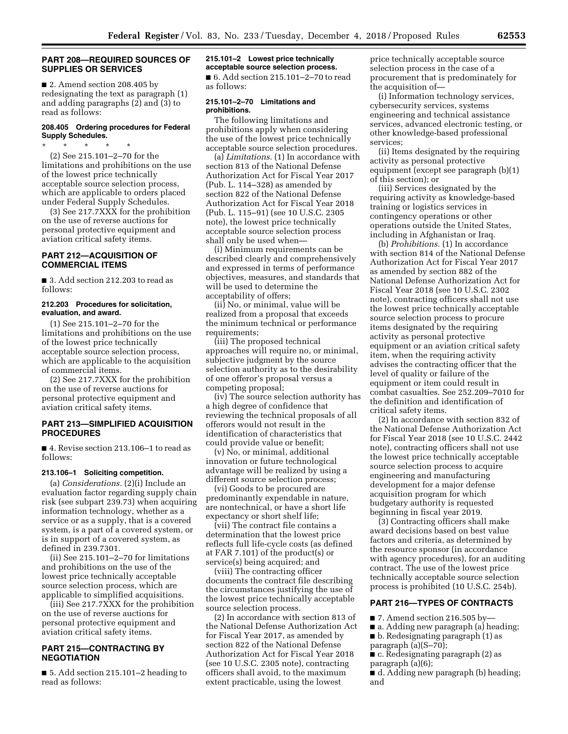### **PART 208—REQUIRED SOURCES OF SUPPLIES OR SERVICES**

■ 2. Amend section 208.405 by redesignating the text as paragraph (1) and adding paragraphs (2) and (3) to read as follows:

### **208.405 Ordering procedures for Federal Supply Schedules.**

\* \* \* \* \* (2) See 215.101–2–70 for the limitations and prohibitions on the use of the lowest price technically acceptable source selection process,

which are applicable to orders placed under Federal Supply Schedules. (3) See 217.7XXX for the prohibition

on the use of reverse auctions for personal protective equipment and aviation critical safety items.

# **PART 212—ACQUISITION OF COMMERCIAL ITEMS**

■ 3. Add section 212.203 to read as follows:

#### **212.203 Procedures for solicitation, evaluation, and award.**

(1) See 215.101–2–70 for the limitations and prohibitions on the use of the lowest price technically acceptable source selection process, which are applicable to the acquisition of commercial items.

(2) See 217.7XXX for the prohibition on the use of reverse auctions for personal protective equipment and aviation critical safety items.

# **PART 213—SIMPLIFIED ACQUISITION PROCEDURES**

■ 4. Revise section 213.106–1 to read as follows:

### **213.106–1 Soliciting competition.**

(a) *Considerations.* (2)(i) Include an evaluation factor regarding supply chain risk (see subpart 239.73) when acquiring information technology, whether as a service or as a supply, that is a covered system, is a part of a covered system, or is in support of a covered system, as defined in 239.7301.

(ii) See 215.101–2–70 for limitations and prohibitions on the use of the lowest price technically acceptable source selection process, which are applicable to simplified acquisitions.

(iii) See 217.7XXX for the prohibition on the use of reverse auctions for personal protective equipment and aviation critical safety items.

# **PART 215—CONTRACTING BY NEGOTIATION**

■ 5. Add section 215.101–2 heading to read as follows:

#### **215.101–2 Lowest price technically acceptable source selection process.**

■ 6. Add section 215.101-2-70 to read as follows:

### **215.101–2–70 Limitations and prohibitions.**

The following limitations and prohibitions apply when considering the use of the lowest price technically acceptable source selection procedures.

(a) *Limitations.* (1) In accordance with section 813 of the National Defense Authorization Act for Fiscal Year 2017 (Pub. L. 114–328) as amended by section 822 of the National Defense Authorization Act for Fiscal Year 2018 (Pub. L. 115–91) (see 10 U.S.C. 2305 note), the lowest price technically acceptable source selection process shall only be used when—

(i) Minimum requirements can be described clearly and comprehensively and expressed in terms of performance objectives, measures, and standards that will be used to determine the acceptability of offers;

(ii) No, or minimal, value will be realized from a proposal that exceeds the minimum technical or performance requirements;

(iii) The proposed technical approaches will require no, or minimal, subjective judgment by the source selection authority as to the desirability of one offeror's proposal versus a competing proposal;

(iv) The source selection authority has a high degree of confidence that reviewing the technical proposals of all offerors would not result in the identification of characteristics that could provide value or benefit;

(v) No, or minimal, additional innovation or future technological advantage will be realized by using a different source selection process;

(vi) Goods to be procured are predominantly expendable in nature, are nontechnical, or have a short life expectancy or short shelf life;

(vii) The contract file contains a determination that the lowest price reflects full life-cycle costs (as defined at FAR 7.101) of the product(s) or service(s) being acquired; and

(viii) The contracting officer documents the contract file describing the circumstances justifying the use of the lowest price technically acceptable source selection process.

(2) In accordance with section 813 of the National Defense Authorization Act for Fiscal Year 2017, as amended by section 822 of the National Defense Authorization Act for Fiscal Year 2018 (see 10 U.S.C. 2305 note), contracting officers shall avoid, to the maximum extent practicable, using the lowest

price technically acceptable source selection process in the case of a procurement that is predominately for the acquisition of—

(i) Information technology services, cybersecurity services, systems engineering and technical assistance services, advanced electronic testing, or other knowledge-based professional services;

(ii) Items designated by the requiring activity as personal protective equipment (except see paragraph (b)(1) of this section); or

(iii) Services designated by the requiring activity as knowledge-based training or logistics services in contingency operations or other operations outside the United States, including in Afghanistan or Iraq.

(b) *Prohibitions.* (1) In accordance with section 814 of the National Defense Authorization Act for Fiscal Year 2017 as amended by section 882 of the National Defense Authorization Act for Fiscal Year 2018 (see 10 U.S.C. 2302 note), contracting officers shall not use the lowest price technically acceptable source selection process to procure items designated by the requiring activity as personal protective equipment or an aviation critical safety item, when the requiring activity advises the contracting officer that the level of quality or failure of the equipment or item could result in combat casualties. See 252.209–7010 for the definition and identification of critical safety items.

(2) In accordance with section 832 of the National Defense Authorization Act for Fiscal Year 2018 (see 10 U.S.C. 2442 note), contracting officers shall not use the lowest price technically acceptable source selection process to acquire engineering and manufacturing development for a major defense acquisition program for which budgetary authority is requested beginning in fiscal year 2019.

(3) Contracting officers shall make award decisions based on best value factors and criteria, as determined by the resource sponsor (in accordance with agency procedures), for an auditing contract. The use of the lowest price technically acceptable source selection process is prohibited (10 U.S.C. 254b).

### **PART 216—TYPES OF CONTRACTS**

 $\blacksquare$  7. Amend section 216.505 by—

- a. Adding new paragraph (a) heading;
- b. Redesignating paragraph (1) as
- paragraph (a)(S–70);

■ c. Redesignating paragraph (2) as paragraph (a)(6);

■ d. Adding new paragraph (b) heading; and